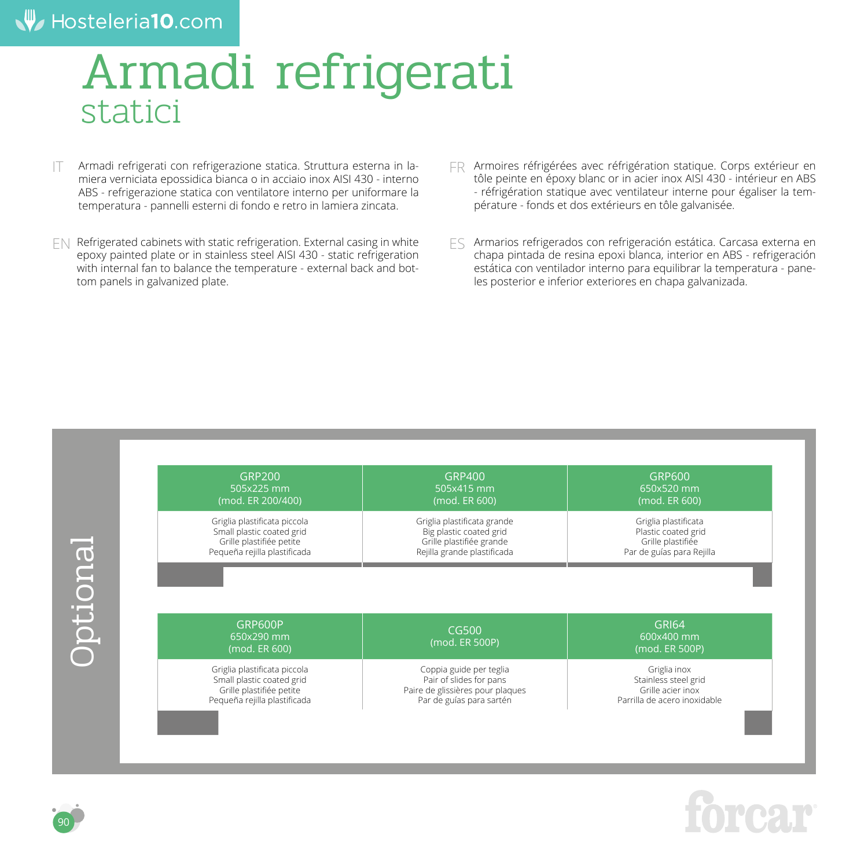#### Hosteleria10.com

# Armadi refrigerati statici

- Armadi refrigerati con refrigerazione statica. Struttura esterna in lamiera verniciata epossidica bianca o in acciaio inox AISI 430 - interno ABS - refrigerazione statica con ventilatore interno per uniformare la temperatura - pannelli esterni di fondo e retro in lamiera zincata. IT
- EN Refrigerated cabinets with static refrigeration. External casing in white epoxy painted plate or in stainless steel AISI 430 - static refrigeration with internal fan to balance the temperature - external back and bottom panels in galvanized plate.
- FR Armoires réfrigérées avec réfrigération statique. Corps extérieur en tôle peinte en époxy blanc or in acier inox AISI 430 - intérieur en ABS - réfrigération statique avec ventilateur interne pour égaliser la température - fonds et dos extérieurs en tôle galvanisée.

Armarios refrigerados con refrigeración estática. Carcasa externa en chapa pintada de resina epoxi blanca, interior en ABS - refrigeración estática con ventilador interno para equilibrar la temperatura - paneles posterior e inferior exteriores en chapa galvanizada. ES





90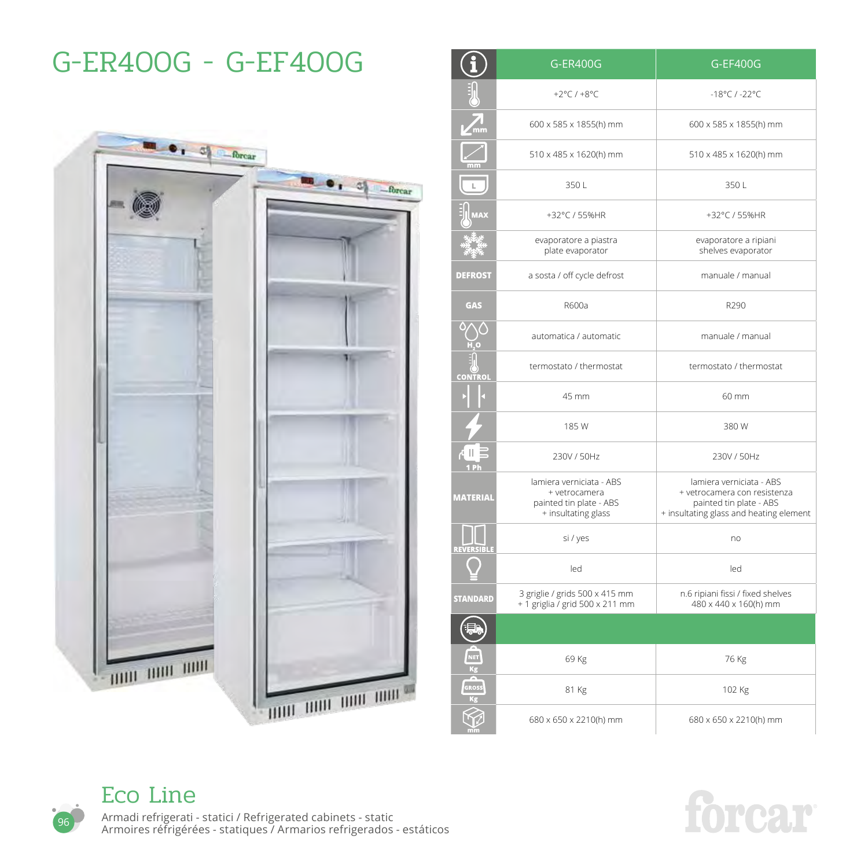### G-ER400G - G-EF400G



|                           | <b>G-ER400G</b>                                                                             | G-EF400G                                                                                                                       |
|---------------------------|---------------------------------------------------------------------------------------------|--------------------------------------------------------------------------------------------------------------------------------|
|                           | +2°C / +8°C                                                                                 | $-18^{\circ}$ C / $-22^{\circ}$ C                                                                                              |
| $\sum_{m}$                | 600 x 585 x 1855(h) mm                                                                      | 600 x 585 x 1855(h) mm                                                                                                         |
|                           | 510 x 485 x 1620(h) mm                                                                      | 510 x 485 x 1620(h) mm                                                                                                         |
|                           | 350L                                                                                        | 350L                                                                                                                           |
| <b>MAX</b>                | +32°C / 55%HR                                                                               | +32°C / 55%HR                                                                                                                  |
|                           | evaporatore a piastra<br>plate evaporator                                                   | evaporatore a ripiani<br>shelves evaporator                                                                                    |
| <b>DEFROST</b>            | a sosta / off cycle defrost                                                                 | manuale / manual                                                                                                               |
| <b>GAS</b>                | R600a                                                                                       | R290                                                                                                                           |
|                           | automatica / automatic                                                                      | manuale / manual                                                                                                               |
| <b>CONTROL</b>            | termostato / thermostat                                                                     | termostato / thermostat                                                                                                        |
|                           | 45 mm                                                                                       | 60 mm                                                                                                                          |
|                           | 185 W                                                                                       | 380W                                                                                                                           |
| ⊿ II E<br>1 <sub>Ph</sub> | 230V / 50Hz                                                                                 | 230V / 50Hz                                                                                                                    |
| <b>MATERIAL</b>           | lamiera verniciata - ABS<br>+ vetrocamera<br>painted tin plate - ABS<br>+ insultating glass | lamiera verniciata - ABS<br>+ vetrocamera con resistenza<br>painted tin plate - ABS<br>+ insultating glass and heating element |
| REVERSIBLI                | si / yes                                                                                    | no                                                                                                                             |
|                           | led                                                                                         | led                                                                                                                            |
| STANDARD                  | 3 griglie / grids 500 x 415 mm<br>+ 1 griglia / grid 500 x 211 mm                           | n.6 ripiani fissi / fixed shelves<br>480 x 440 x 160(h) mm                                                                     |
|                           |                                                                                             |                                                                                                                                |
| NET<br>Kg                 | 69 Kg                                                                                       | 76 Kg                                                                                                                          |
| GROSS<br>Кg               | 81 Kg                                                                                       | 102 Kg                                                                                                                         |
|                           | 680 x 650 x 2210(h) mm                                                                      | 680 x 650 x 2210(h) mm                                                                                                         |



96

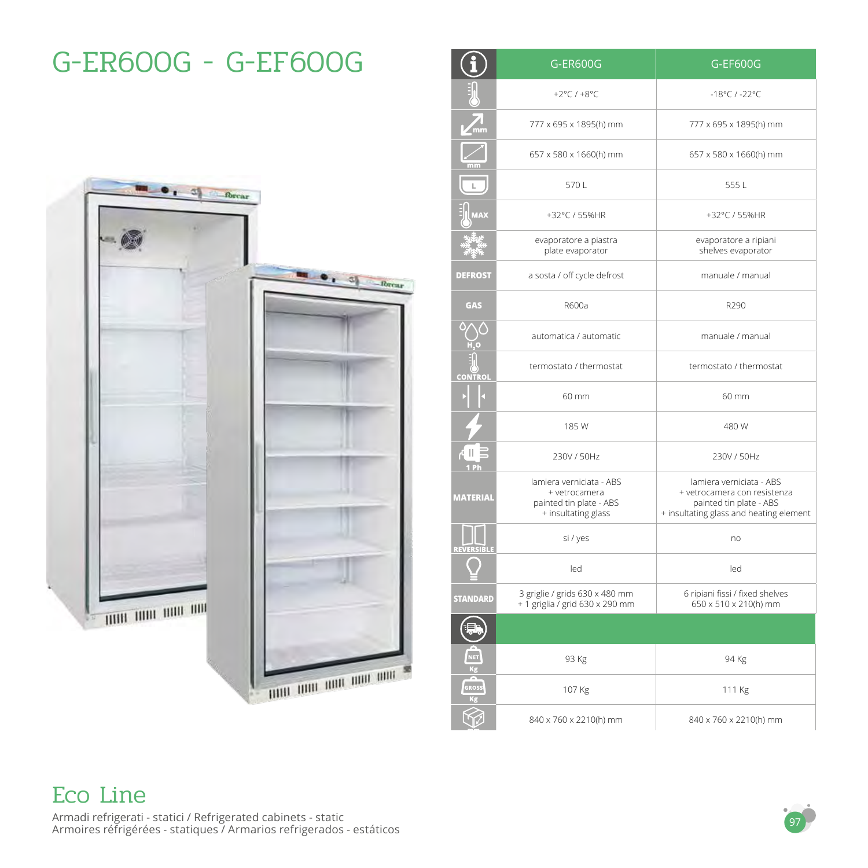# $\bullet$   $\bullet$   $\bullet$   $\bullet$   $\bullet$   $\bullet$  forcar  $-65$  $\bullet$ ,  $\circ$   $\bullet$   $\bullet$   $\bullet$ THE TIME THE TIME min um non um um

G-ER600G - G-EF600G

|                      | G-ER600G                                                                                    | G-EF600G                                                                                                                       |
|----------------------|---------------------------------------------------------------------------------------------|--------------------------------------------------------------------------------------------------------------------------------|
|                      | +2 $°C$ /+8 $°C$                                                                            | $-18^{\circ}$ C / $-22^{\circ}$ C                                                                                              |
| $\sqrt{\frac{1}{m}}$ | 777 x 695 x 1895(h) mm                                                                      | 777 x 695 x 1895(h) mm                                                                                                         |
|                      | 657 x 580 x 1660(h) mm                                                                      | 657 x 580 x 1660(h) mm                                                                                                         |
|                      | 570L                                                                                        | 5551                                                                                                                           |
| $4\,$ A $\times$     | +32°C / 55%HR                                                                               | +32°C / 55%HR                                                                                                                  |
|                      | evaporatore a piastra<br>plate evaporator                                                   | evaporatore a ripiani<br>shelves evaporator                                                                                    |
| <b>DEFROST</b>       | a sosta / off cycle defrost                                                                 | manuale / manual                                                                                                               |
| <b>GAS</b>           | R600a                                                                                       | R290                                                                                                                           |
|                      | automatica / automatic                                                                      | manuale / manual                                                                                                               |
| <b>CONTROL</b>       | termostato / thermostat                                                                     | termostato / thermostat                                                                                                        |
|                      | 60 mm                                                                                       | 60 mm                                                                                                                          |
|                      | 185W                                                                                        | 480 W                                                                                                                          |
| du B<br>1 Ph         | 230V / 50Hz                                                                                 | 230V / 50Hz                                                                                                                    |
| <b>MATERIAL</b>      | lamiera verniciata - ABS<br>+ vetrocamera<br>painted tin plate - ABS<br>+ insultating glass | lamiera verniciata - ABS<br>+ vetrocamera con resistenza<br>painted tin plate - ABS<br>+ insultating glass and heating element |
| <b>REVERSIBLE</b>    | si / yes                                                                                    | no                                                                                                                             |
|                      | led                                                                                         | led                                                                                                                            |
| <b>STANDARD</b>      | 3 griglie / grids 630 x 480 mm<br>+ 1 griglia / grid 630 x 290 mm                           | 6 ripiani fissi / fixed shelves<br>650 x 510 x 210(h) mm                                                                       |
|                      |                                                                                             |                                                                                                                                |
| NET<br>Kg            | 93 Kg                                                                                       | 94 Kg                                                                                                                          |
| GROSS<br>Kg          | 107 Kg                                                                                      | 111 Kg                                                                                                                         |
|                      | 840 x 760 x 2210(h) mm                                                                      | 840 x 760 x 2210(h) mm                                                                                                         |

#### 97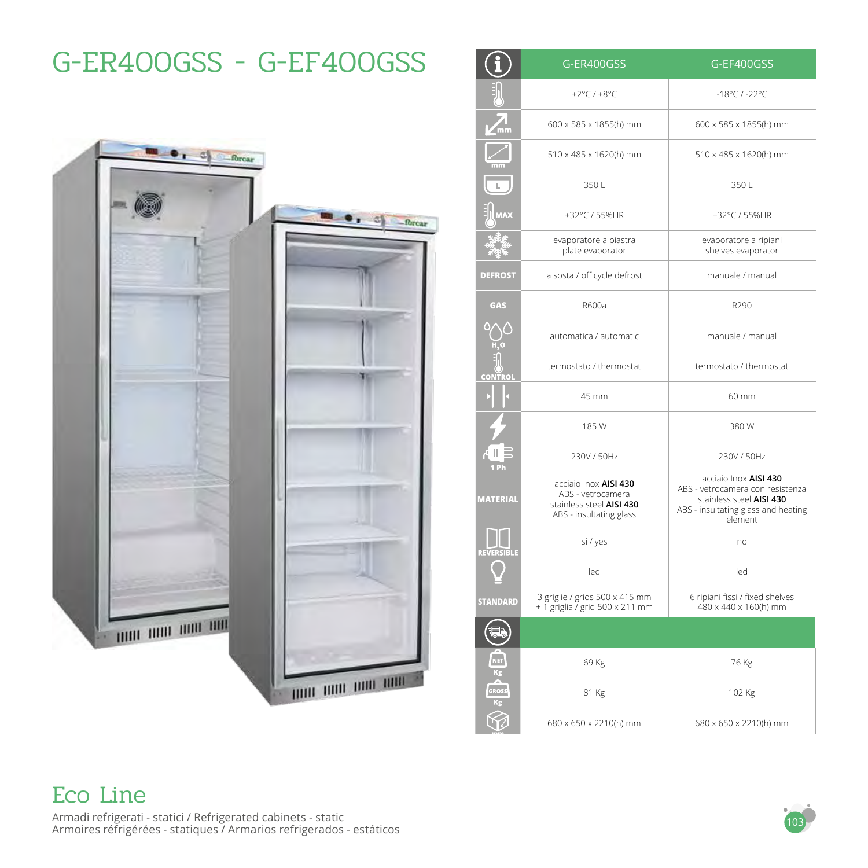# $\bullet$   $\bullet$   $\bullet$   $\bullet$   $\bullet$   $\bullet$   $\bullet$  $\bullet$   $\bullet$   $\bullet$   $\bullet$   $\bullet$   $\bullet$ THE ROO THE ROO 1000 1000 1000 1000

G-ER400GSS - G-EF400GSS

|                   | G-ER400GSS                                                                                        | G-EF400GSS                                                                                                                              |
|-------------------|---------------------------------------------------------------------------------------------------|-----------------------------------------------------------------------------------------------------------------------------------------|
|                   | +2 $°C$ / +8 $°C$                                                                                 | $-18^{\circ}$ C / $-22^{\circ}$ C                                                                                                       |
| $\sqrt{mn}$       | 600 x 585 x 1855(h) mm                                                                            | 600 x 585 x 1855(h) mm                                                                                                                  |
|                   | 510 x 485 x 1620(h) mm                                                                            | 510 x 485 x 1620(h) mm                                                                                                                  |
|                   | 350L                                                                                              | 350L                                                                                                                                    |
| <b>TAX</b>        | +32°C / 55%HR                                                                                     | +32°C / 55%HR                                                                                                                           |
|                   | evaporatore a piastra<br>plate evaporator                                                         | evaporatore a ripiani<br>shelves evaporator                                                                                             |
| <b>DEFROST</b>    | a sosta / off cycle defrost                                                                       | manuale / manual                                                                                                                        |
| <b>GAS</b>        | R600a                                                                                             | R290                                                                                                                                    |
|                   | automatica / automatic                                                                            | manuale / manual                                                                                                                        |
| <b>CONTROL</b>    | termostato / thermostat                                                                           | termostato / thermostat                                                                                                                 |
|                   | 45 mm                                                                                             | 60 mm                                                                                                                                   |
|                   | 185 W                                                                                             | 380 W                                                                                                                                   |
| ᆌ로<br>1 Ph        | 230V / 50Hz                                                                                       | 230V / 50Hz                                                                                                                             |
| <b>MATERIAL</b>   | acciaio Inox AISI 430<br>ABS - vetrocamera<br>stainless steel AISI 430<br>ABS - insultating glass | acciaio Inox AISI 430<br>ABS - vetrocamera con resistenza<br>stainless steel AISI 430<br>ABS - insultating glass and heating<br>element |
| <b>REVERSIBLE</b> | si / yes                                                                                          | no                                                                                                                                      |
|                   | led                                                                                               | led                                                                                                                                     |
| <b>STANDARD</b>   | 3 griglie / grids 500 x 415 mm<br>+ 1 griglia / grid 500 x 211 mm                                 | 6 ripiani fissi / fixed shelves<br>480 x 440 x 160(h) mm                                                                                |
|                   |                                                                                                   |                                                                                                                                         |
| NET<br>Kg         | 69 Kg                                                                                             | 76 Kg                                                                                                                                   |
| <b>GROSS</b>      | 81 Kg                                                                                             | 102 Kg                                                                                                                                  |
|                   | 680 x 650 x 2210(h) mm                                                                            | 680 x 650 x 2210(h) mm                                                                                                                  |

#### Eco Line